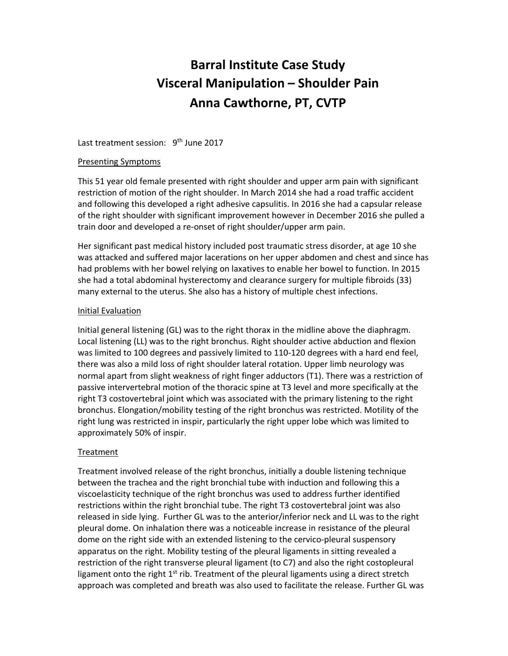# **Barral Institute Case Study Visceral Manipulation – Shoulder Pain Anna Cawthorne, PT, CVTP**

Last treatment session: 9<sup>th</sup> June 2017

## Presenting Symptoms

This 51 year old female presented with right shoulder and upper arm pain with significant restriction of motion of the right shoulder. In March 2014 she had a road traffic accident and following this developed a right adhesive capsulitis. In 2016 she had a capsular release of the right shoulder with significant improvement however in December 2016 she pulled a train door and developed a re‐onset of right shoulder/upper arm pain.

Her significant past medical history included post traumatic stress disorder, at age 10 she was attacked and suffered major lacerations on her upper abdomen and chest and since has had problems with her bowel relying on laxatives to enable her bowel to function. In 2015 she had a total abdominal hysterectomy and clearance surgery for multiple fibroids (33) many external to the uterus. She also has a history of multiple chest infections.

## Initial Evaluation

Initial general listening (GL) was to the right thorax in the midline above the diaphragm. Local listening (LL) was to the right bronchus. Right shoulder active abduction and flexion was limited to 100 degrees and passively limited to 110‐120 degrees with a hard end feel, there was also a mild loss of right shoulder lateral rotation. Upper limb neurology was normal apart from slight weakness of right finger adductors (T1). There was a restriction of passive intervertebral motion of the thoracic spine at T3 level and more specifically at the right T3 costovertebral joint which was associated with the primary listening to the right bronchus. Elongation/mobility testing of the right bronchus was restricted. Motility of the right lung was restricted in inspir, particularly the right upper lobe which was limited to approximately 50% of inspir.

## **Treatment**

Treatment involved release of the right bronchus, initially a double listening technique between the trachea and the right bronchial tube with induction and following this a viscoelasticity technique of the right bronchus was used to address further identified restrictions within the right bronchial tube. The right T3 costovertebral joint was also released in side lying. Further GL was to the anterior/inferior neck and LL was to the right pleural dome. On inhalation there was a noticeable increase in resistance of the pleural dome on the right side with an extended listening to the cervico‐pleural suspensory apparatus on the right. Mobility testing of the pleural ligaments in sitting revealed a restriction of the right transverse pleural ligament (to C7) and also the right costopleural ligament onto the right  $1<sup>st</sup>$  rib. Treatment of the pleural ligaments using a direct stretch approach was completed and breath was also used to facilitate the release. Further GL was